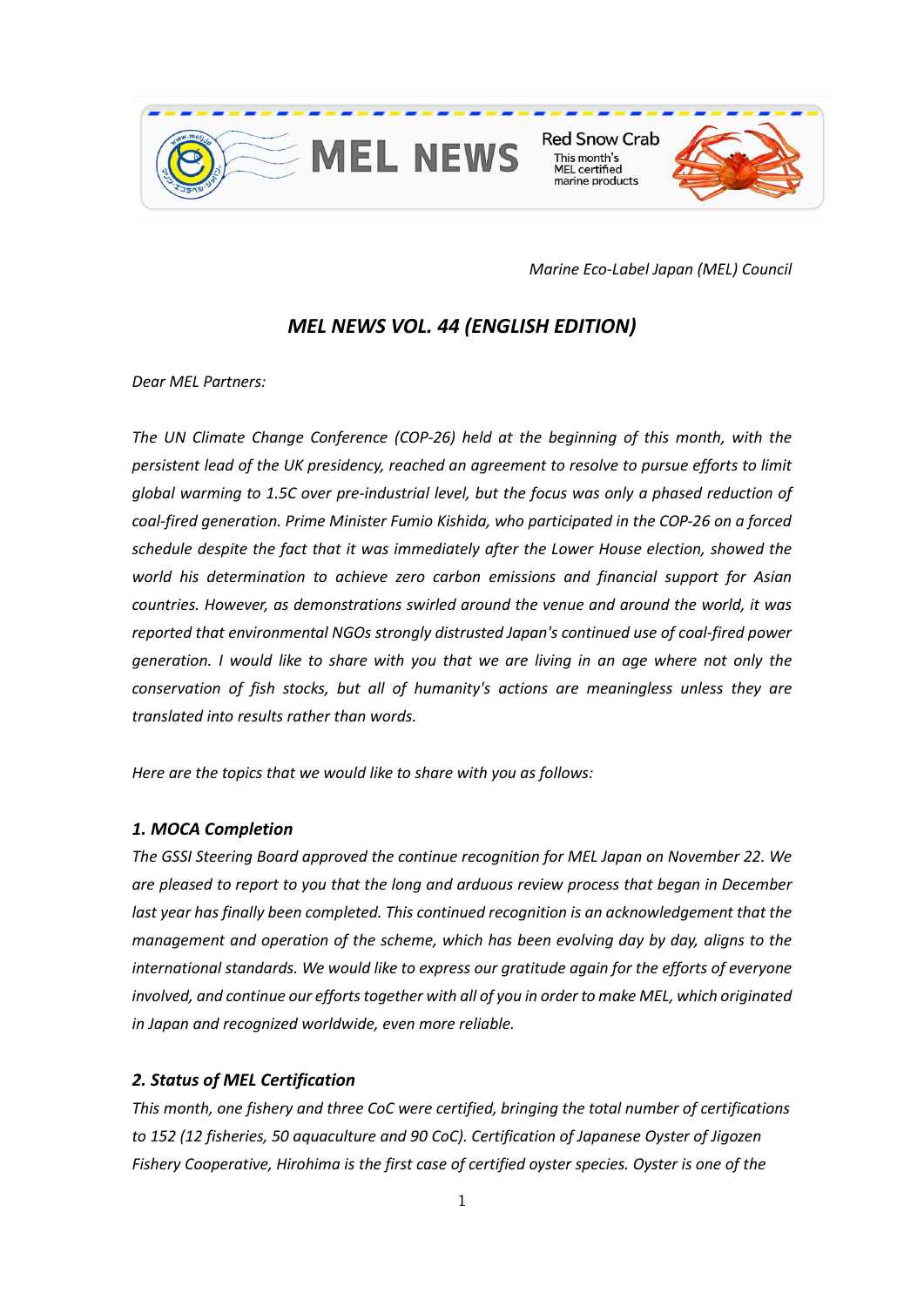

**Red Snow Crab** This month's **MEL** certified marine products



*Marine Eco-Label Japan (MEL) Council*

# *MEL NEWS VOL. 44 (ENGLISH EDITION)*

*Dear MEL Partners:* 

*The UN Climate Change Conference (COP-26) held at the beginning of this month, with the persistent lead of the UK presidency, reached an agreement to resolve to pursue efforts to limit global warming to 1.5C over pre-industrial level, but the focus was only a phased reduction of coal-fired generation. Prime Minister Fumio Kishida, who participated in the COP-26 on a forced schedule despite the fact that it was immediately after the Lower House election, showed the world his determination to achieve zero carbon emissions and financial support for Asian countries. However, as demonstrations swirled around the venue and around the world, it was reported that environmental NGOs strongly distrusted Japan's continued use of coal-fired power generation. I would like to share with you that we are living in an age where not only the conservation of fish stocks, but all of humanity's actions are meaningless unless they are translated into results rather than words.*

*Here are the topics that we would like to share with you as follows:* 

### *1. MOCA Completion*

*The GSSI Steering Board approved the continue recognition for MEL Japan on November 22. We are pleased to report to you that the long and arduous review process that began in December last year has finally been completed. This continued recognition is an acknowledgement that the management and operation of the scheme, which has been evolving day by day, aligns to the international standards. We would like to express our gratitude again for the efforts of everyone involved, and continue our efforts together with all of you in order to make MEL, which originated in Japan and recognized worldwide, even more reliable.*

### *2. Status of MEL Certification*

*This month, one fishery and three CoC were certified, bringing the total number of certifications to 152 (12 fisheries, 50 aquaculture and 90 CoC). Certification of Japanese Oyster of Jigozen Fishery Cooperative, Hirohima is the first case of certified oyster species. Oyster is one of the*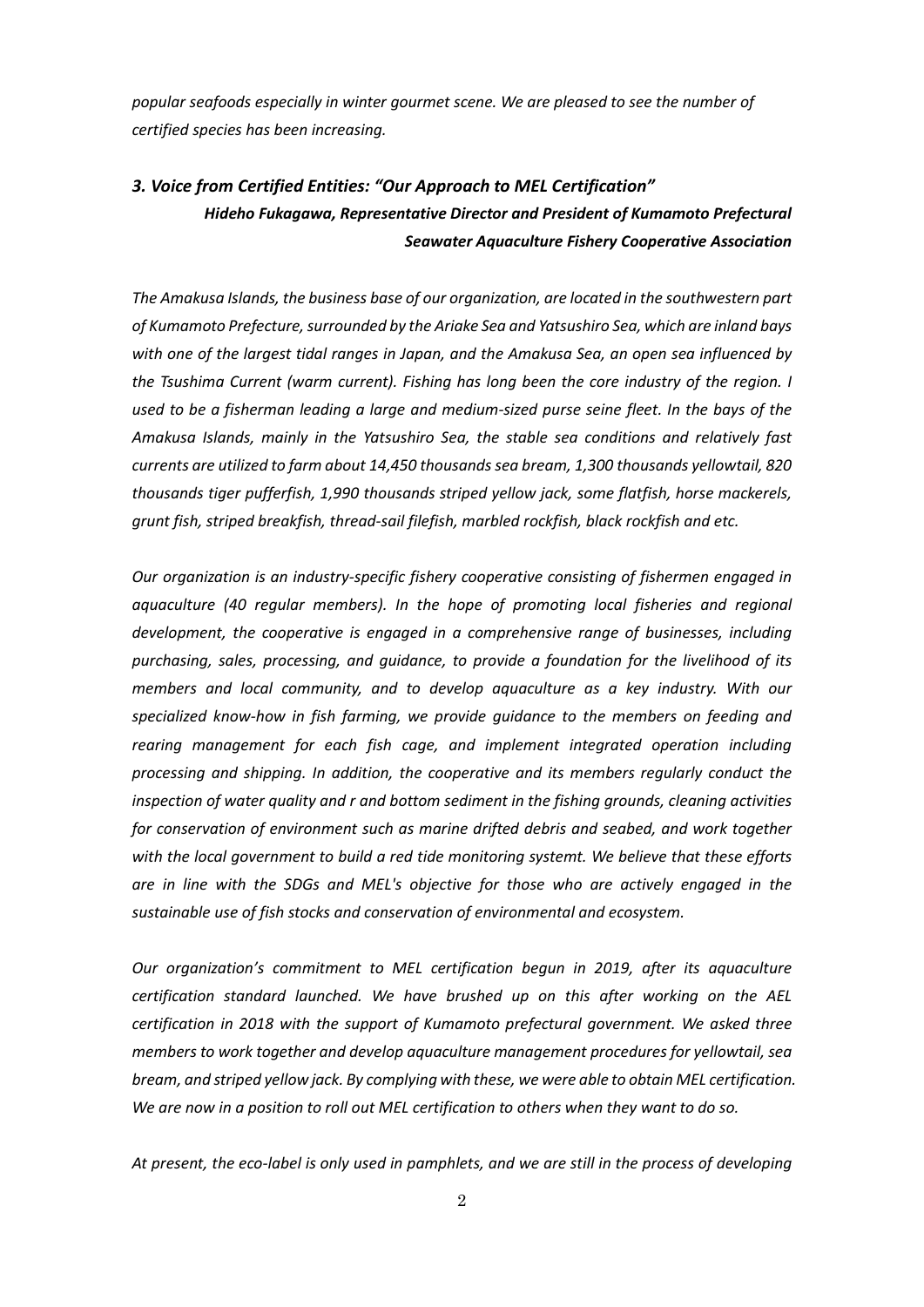*popular seafoods especially in winter gourmet scene. We are pleased to see the number of certified species has been increasing.*

## *3. Voice from Certified Entities: "Our Approach to MEL Certification" Hideho Fukagawa, Representative Director and President of Kumamoto Prefectural Seawater Aquaculture Fishery Cooperative Association*

*The Amakusa Islands, the business base of our organization, are located in the southwestern part of Kumamoto Prefecture, surrounded by the Ariake Sea and Yatsushiro Sea, which are inland bays with one of the largest tidal ranges in Japan, and the Amakusa Sea, an open sea influenced by the Tsushima Current (warm current). Fishing has long been the core industry of the region. I*  used to be a fisherman leading a large and medium-sized purse seine fleet. In the bays of the *Amakusa Islands, mainly in the Yatsushiro Sea, the stable sea conditions and relatively fast currents are utilized to farm about 14,450 thousands sea bream, 1,300 thousands yellowtail, 820 thousands tiger pufferfish, 1,990 thousands striped yellow jack, some flatfish, horse mackerels, grunt fish, striped breakfish, thread-sail filefish, marbled rockfish, black rockfish and etc.* 

*Our organization is an industry-specific fishery cooperative consisting of fishermen engaged in*  aquaculture (40 regular members). In the hope of promoting local fisheries and regional *development, the cooperative is engaged in a comprehensive range of businesses, including purchasing, sales, processing, and guidance, to provide a foundation for the livelihood of its members and local community, and to develop aquaculture as a key industry. With our specialized know-how in fish farming, we provide guidance to the members on feeding and rearing management for each fish cage, and implement integrated operation including processing and shipping. In addition, the cooperative and its members regularly conduct the inspection of water quality and r and bottom sediment in the fishing grounds, cleaning activities for conservation of environment such as marine drifted debris and seabed, and work together with the local government to build a red tide monitoring systemt. We believe that these efforts are in line with the SDGs and MEL's objective for those who are actively engaged in the sustainable use of fish stocks and conservation of environmental and ecosystem.*

*Our organization's commitment to MEL certification begun in 2019, after its aquaculture certification standard launched. We have brushed up on this after working on the AEL certification in 2018 with the support of Kumamoto prefectural government. We asked three members to work together and develop aquaculture management procedures for yellowtail, sea bream, and striped yellow jack. By complying with these, we were able to obtain MEL certification. We are now in a position to roll out MEL certification to others when they want to do so.*

*At present, the eco-label is only used in pamphlets, and we are still in the process of developing*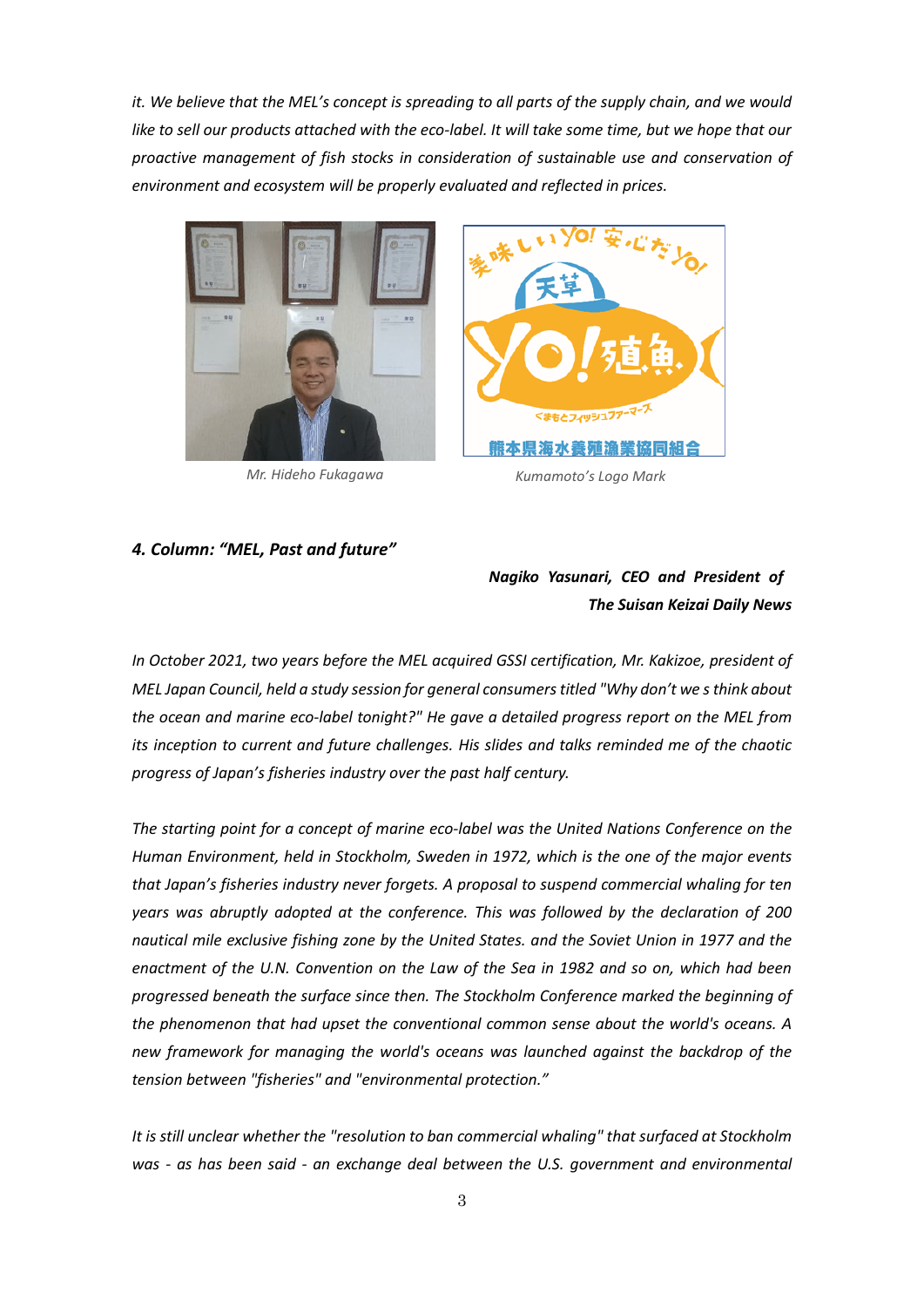*it. We believe that the MEL's concept is spreading to all parts of the supply chain, and we would like to sell our products attached with the eco-label. It will take some time, but we hope that our proactive management of fish stocks in consideration of sustainable use and conservation of environment and ecosystem will be properly evaluated and reflected in prices.*





*Mr. Hideho Fukagawa Kumamoto's Logo Mark*

#### *4. Column: "MEL, Past and future"*

## *Nagiko Yasunari, CEO and President of The Suisan Keizai Daily News*

*In October 2021, two years before the MEL acquired GSSI certification, Mr. Kakizoe, president of MEL Japan Council, held a study session for general consumers titled "Why don't we s think about the ocean and marine eco-label tonight?" He gave a detailed progress report on the MEL from its inception to current and future challenges. His slides and talks reminded me of the chaotic progress of Japan's fisheries industry over the past half century.*

*The starting point for a concept of marine eco-label was the United Nations Conference on the Human Environment, held in Stockholm, Sweden in 1972, which is the one of the major events that Japan's fisheries industry never forgets. A proposal to suspend commercial whaling for ten years was abruptly adopted at the conference. This was followed by the declaration of 200 nautical mile exclusive fishing zone by the United States. and the Soviet Union in 1977 and the enactment of the U.N. Convention on the Law of the Sea in 1982 and so on, which had been progressed beneath the surface since then. The Stockholm Conference marked the beginning of the phenomenon that had upset the conventional common sense about the world's oceans. A new framework for managing the world's oceans was launched against the backdrop of the tension between "fisheries" and "environmental protection."*

*It is still unclear whether the "resolution to ban commercial whaling" that surfaced at Stockholm was - as has been said - an exchange deal between the U.S. government and environmental*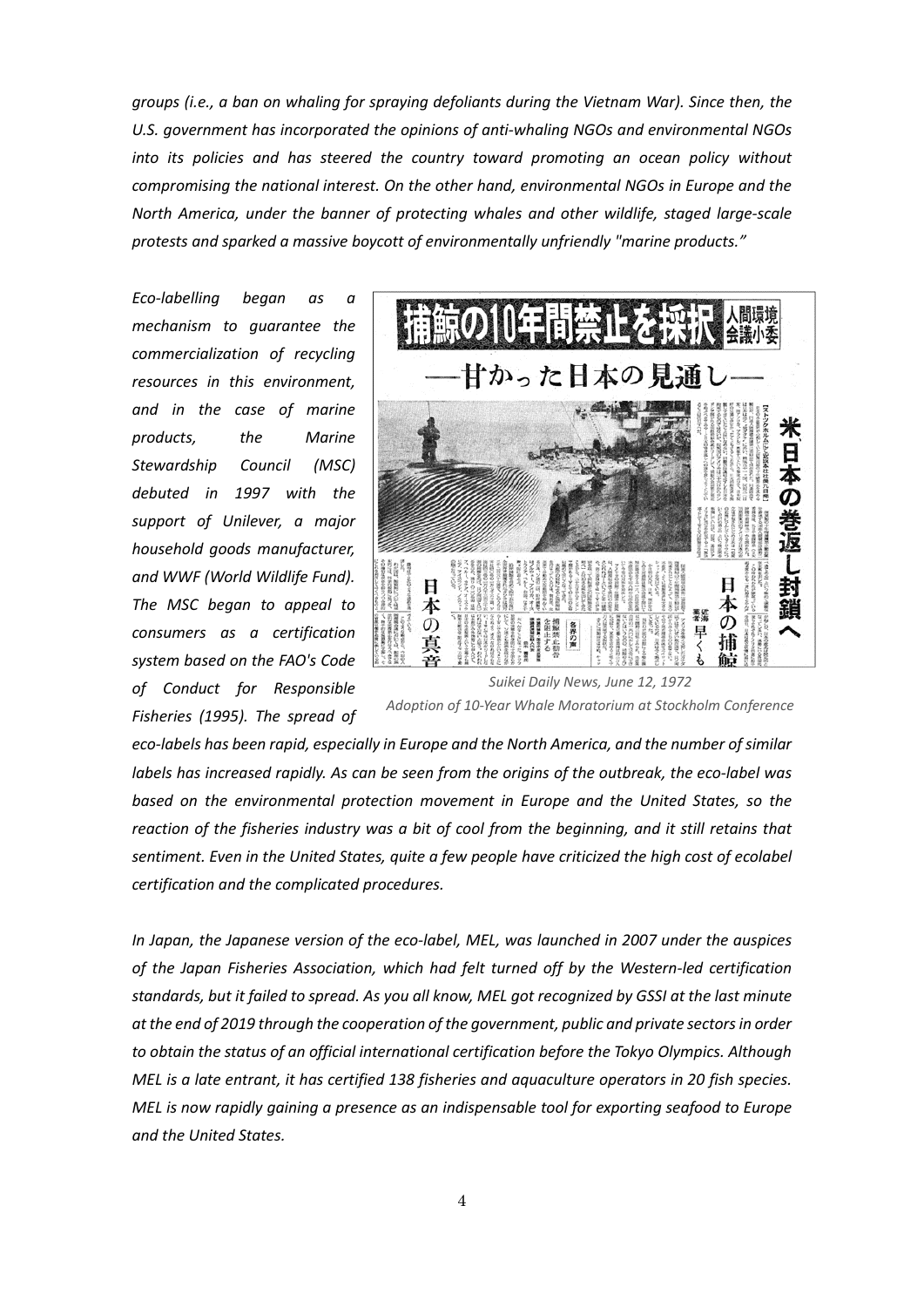*groups (i.e., a ban on whaling for spraying defoliants during the Vietnam War). Since then, the U.S. government has incorporated the opinions of anti-whaling NGOs and environmental NGOs into its policies and has steered the country toward promoting an ocean policy without compromising the national interest. On the other hand, environmental NGOs in Europe and the North America, under the banner of protecting whales and other wildlife, staged large-scale protests and sparked a massive boycott of environmentally unfriendly "marine products."*

*Eco-labelling began as a mechanism to guarantee the commercialization of recycling resources in this environment, and in the case of marine products, the Marine Stewardship Council (MSC) debuted in 1997 with the support of Unilever, a major household goods manufacturer, and WWF (World Wildlife Fund). The MSC began to appeal to consumers as a certification system based on the FAO's Code of Conduct for Responsible Fisheries (1995). The spread of* 



*Suikei Daily News, June 12, 1972 Adoption of 10-Year Whale Moratorium at Stockholm Conference*

*eco-labels has been rapid, especially in Europe and the North America, and the number of similar labels has increased rapidly. As can be seen from the origins of the outbreak, the eco-label was based on the environmental protection movement in Europe and the United States, so the reaction of the fisheries industry was a bit of cool from the beginning, and it still retains that sentiment. Even in the United States, quite a few people have criticized the high cost of ecolabel certification and the complicated procedures.* 

*In Japan, the Japanese version of the eco-label, MEL, was launched in 2007 under the auspices of the Japan Fisheries Association, which had felt turned off by the Western-led certification standards, but it failed to spread. As you all know, MEL got recognized by GSSI at the last minute at the end of 2019 through the cooperation of the government, public and private sectors in order to obtain the status of an official international certification before the Tokyo Olympics. Although MEL is a late entrant, it has certified 138 fisheries and aquaculture operators in 20 fish species. MEL is now rapidly gaining a presence as an indispensable tool for exporting seafood to Europe and the United States.*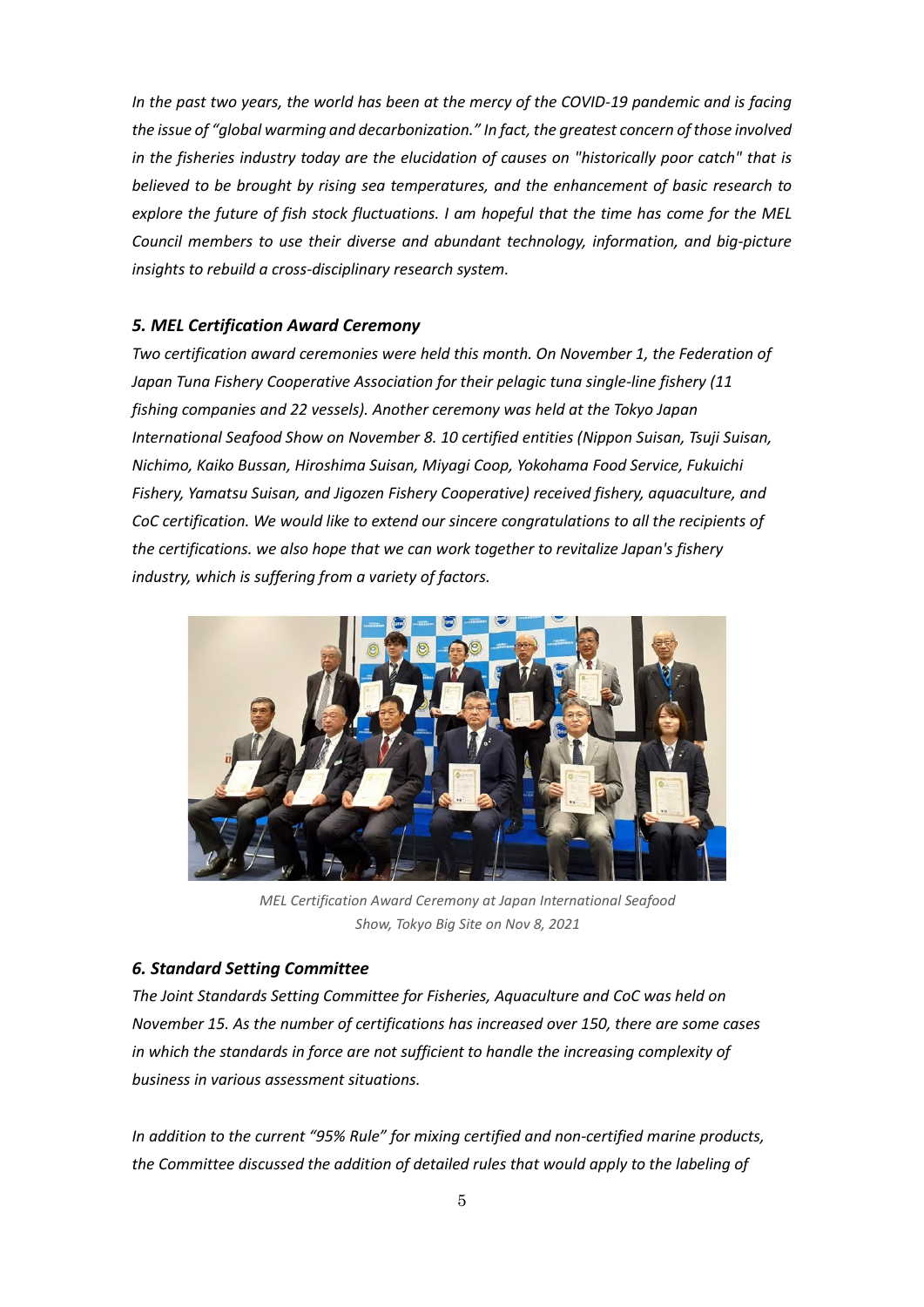*In the past two years, the world has been at the mercy of the COVID-19 pandemic and is facing the issue of "global warming and decarbonization." In fact, the greatest concern of those involved in the fisheries industry today are the elucidation of causes on "historically poor catch" that is believed to be brought by rising sea temperatures, and the enhancement of basic research to explore the future of fish stock fluctuations. I am hopeful that the time has come for the MEL Council members to use their diverse and abundant technology, information, and big-picture insights to rebuild a cross-disciplinary research system.*

### *5. MEL Certification Award Ceremony*

*Two certification award ceremonies were held this month. On November 1, the Federation of Japan Tuna Fishery Cooperative Association for their pelagic tuna single-line fishery (11 fishing companies and 22 vessels). Another ceremony was held at the Tokyo Japan International Seafood Show on November 8. 10 certified entities (Nippon Suisan, Tsuji Suisan, Nichimo, Kaiko Bussan, Hiroshima Suisan, Miyagi Coop, Yokohama Food Service, Fukuichi Fishery, Yamatsu Suisan, and Jigozen Fishery Cooperative) received fishery, aquaculture, and CoC certification. We would like to extend our sincere congratulations to all the recipients of the certifications. we also hope that we can work together to revitalize Japan's fishery industry, which is suffering from a variety of factors.*



*MEL Certification Award Ceremony at Japan International Seafood Show, Tokyo Big Site on Nov 8, 2021*

### *6. Standard Setting Committee*

*The Joint Standards Setting Committee for Fisheries, Aquaculture and CoC was held on November 15. As the number of certifications has increased over 150, there are some cases in which the standards in force are not sufficient to handle the increasing complexity of business in various assessment situations.* 

*In addition to the current "95% Rule" for mixing certified and non-certified marine products, the Committee discussed the addition of detailed rules that would apply to the labeling of*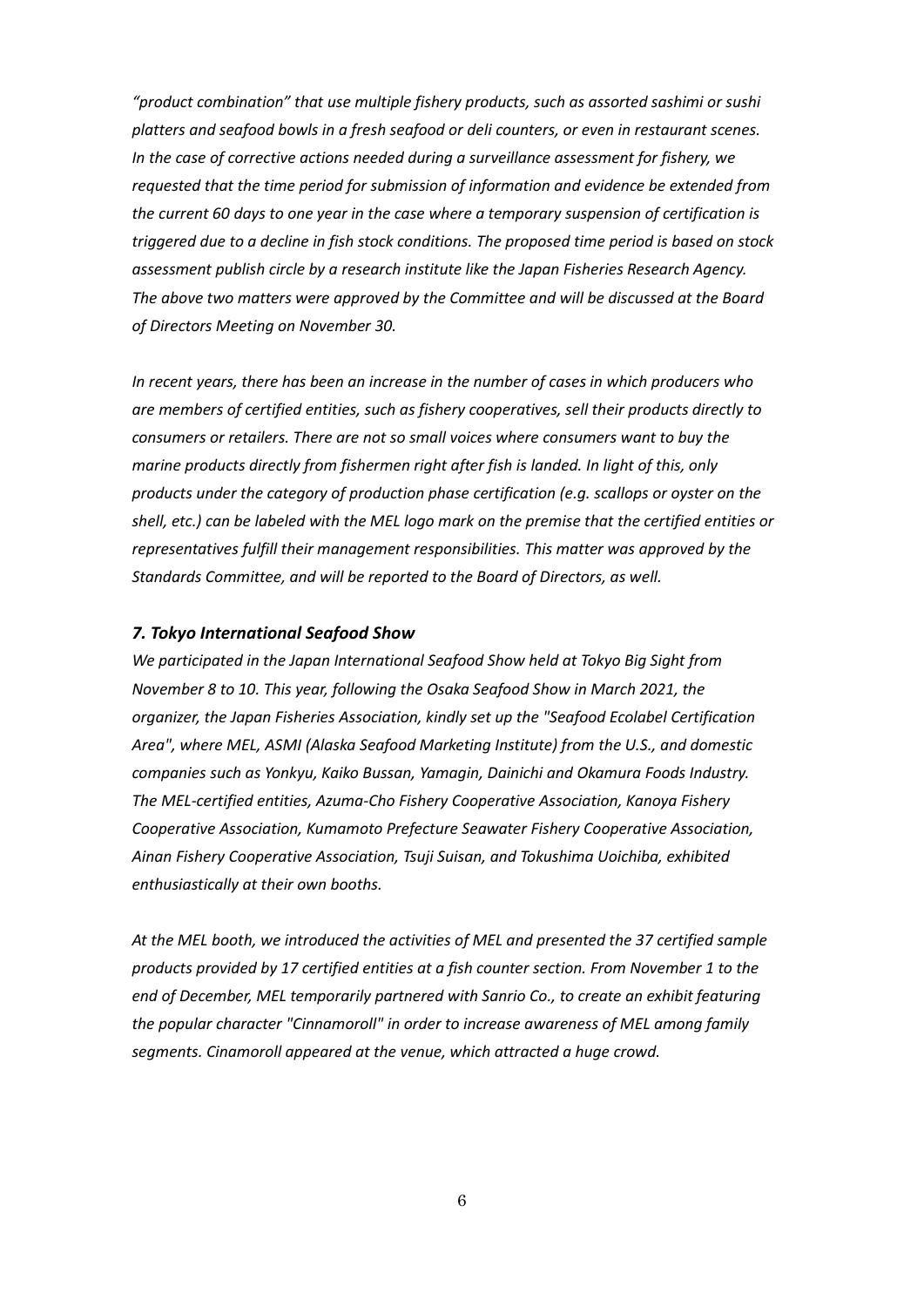*"product combination" that use multiple fishery products, such as assorted sashimi or sushi platters and seafood bowls in a fresh seafood or deli counters, or even in restaurant scenes. In the case of corrective actions needed during a surveillance assessment for fishery, we requested that the time period for submission of information and evidence be extended from the current 60 days to one year in the case where a temporary suspension of certification is triggered due to a decline in fish stock conditions. The proposed time period is based on stock assessment publish circle by a research institute like the Japan Fisheries Research Agency. The above two matters were approved by the Committee and will be discussed at the Board of Directors Meeting on November 30.*

*In recent years, there has been an increase in the number of cases in which producers who are members of certified entities, such as fishery cooperatives, sell their products directly to consumers or retailers. There are not so small voices where consumers want to buy the marine products directly from fishermen right after fish is landed. In light of this, only products under the category of production phase certification (e.g. scallops or oyster on the shell, etc.) can be labeled with the MEL logo mark on the premise that the certified entities or representatives fulfill their management responsibilities. This matter was approved by the Standards Committee, and will be reported to the Board of Directors, as well.*

#### *7. Tokyo International Seafood Show*

*We participated in the Japan International Seafood Show held at Tokyo Big Sight from November 8 to 10. This year, following the Osaka Seafood Show in March 2021, the organizer, the Japan Fisheries Association, kindly set up the "Seafood Ecolabel Certification Area", where MEL, ASMI (Alaska Seafood Marketing Institute) from the U.S., and domestic companies such as Yonkyu, Kaiko Bussan, Yamagin, Dainichi and Okamura Foods Industry. The MEL-certified entities, Azuma-Cho Fishery Cooperative Association, Kanoya Fishery Cooperative Association, Kumamoto Prefecture Seawater Fishery Cooperative Association, Ainan Fishery Cooperative Association, Tsuji Suisan, and Tokushima Uoichiba, exhibited enthusiastically at their own booths.*

*At the MEL booth, we introduced the activities of MEL and presented the 37 certified sample products provided by 17 certified entities at a fish counter section. From November 1 to the end of December, MEL temporarily partnered with Sanrio Co., to create an exhibit featuring the popular character "Cinnamoroll" in order to increase awareness of MEL among family segments. Cinamoroll appeared at the venue, which attracted a huge crowd.*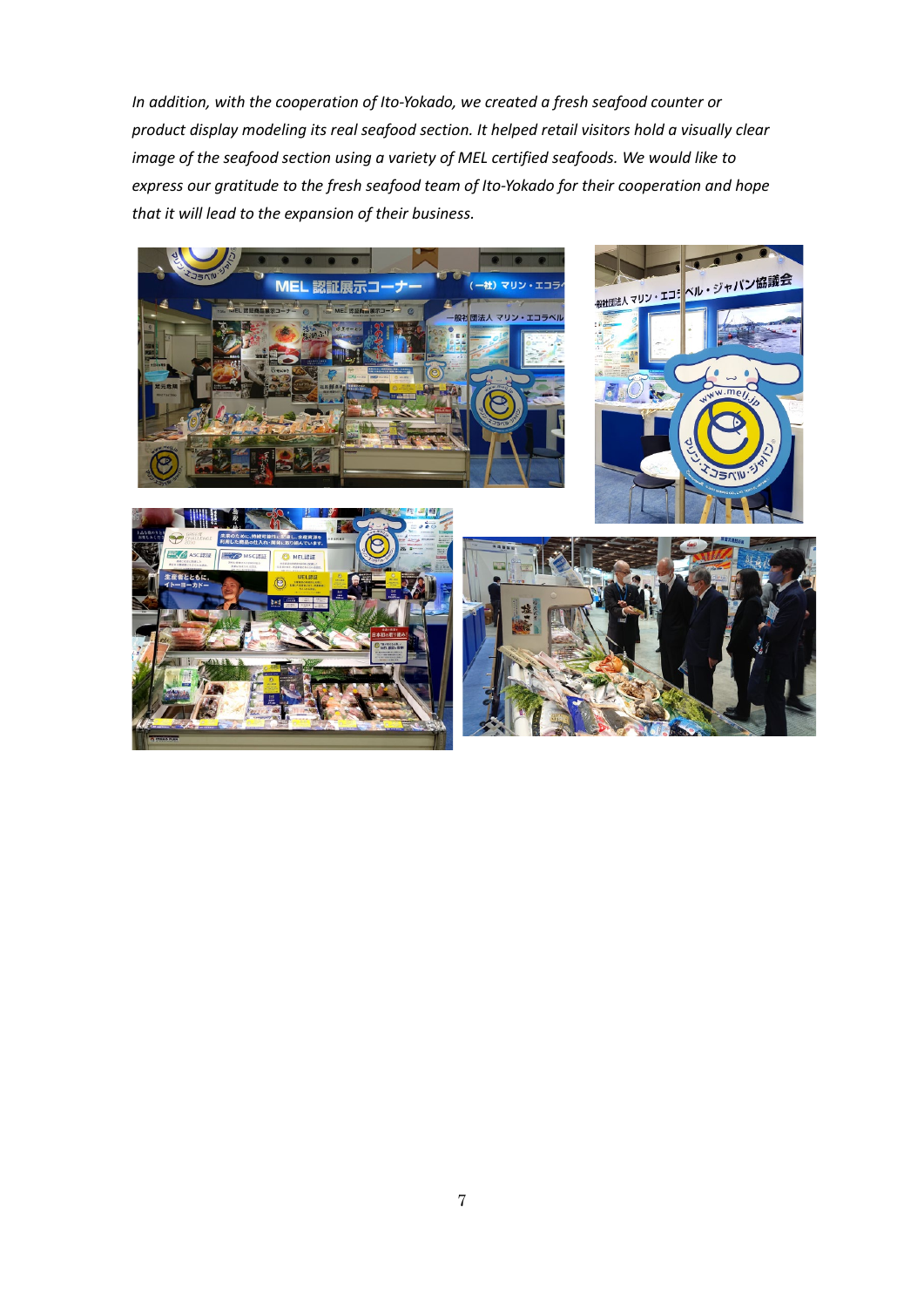*In addition, with the cooperation of Ito-Yokado, we created a fresh seafood counter or product display modeling its real seafood section. It helped retail visitors hold a visually clear image of the seafood section using a variety of MEL certified seafoods. We would like to express our gratitude to the fresh seafood team of Ito-Yokado for their cooperation and hope that it will lead to the expansion of their business.*